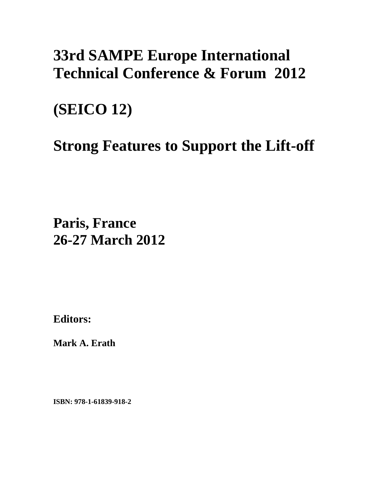## **33rd SAMPE Europe International Technical Conference & Forum 2012**

## **(SEICO 12)**

# **Strong Features to Support the Lift-off**

**Paris, France 26-27 March 2012**

**Editors:** 

**Mark A. Erath** 

**ISBN: 978-1-61839-918-2**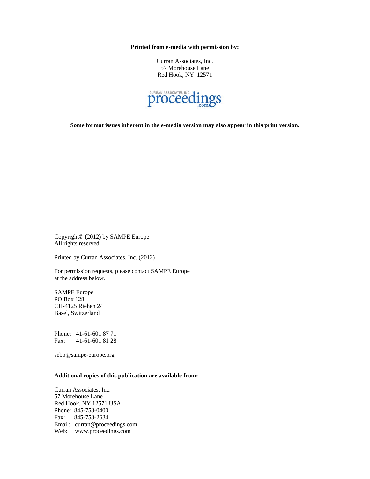**Printed from e-media with permission by:** 

Curran Associates, Inc. 57 Morehouse Lane Red Hook, NY 12571



**Some format issues inherent in the e-media version may also appear in this print version.** 

Copyright© (2012) by SAMPE Europe All rights reserved.

Printed by Curran Associates, Inc. (2012)

For permission requests, please contact SAMPE Europe at the address below.

SAMPE Europe PO Box 128 CH-4125 Riehen 2/ Basel, Switzerland

Phone: 41-61-601 87 71 Fax: 41-61-601 81 28

sebo@sampe-europe.org

#### **Additional copies of this publication are available from:**

Curran Associates, Inc. 57 Morehouse Lane Red Hook, NY 12571 USA Phone: 845-758-0400 Fax: 845-758-2634 Email: curran@proceedings.com Web: www.proceedings.com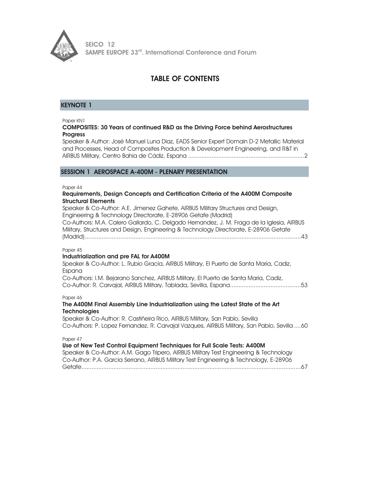

## TABLE OF CONTENTS

## KEYNOTE 1

Paper KN1

#### COMPOSITES: 30 Years of continued R&D as the Driving Force behind Aerostructures **Progress**

Speaker & Author: José Manuel Luna Diaz, EADS Senior Expert Domain D-2 Metallic Material and Processes, Head of Composites Production & Development Engineering, and R&T in AIRBUS Military, Centro Bahia de Cádiz, Espana ..................................................................... 2

## SESSION 1 AEROSPACE A-400M - PLENARY PRESENTATION

Paper 44

#### Requirements, Design Concepts and Certification Criteria of the A400M Composite Structural Elements

Speaker & Co-Author: A.E. Jimenez Gahete, AIRBUS Military Structures and Design, Engineering & Technology Directorate, E-28906 Getafe (Madrid) Co-Authors: M.A. Calero Gallardo, C. Delgado Hernandez, J. M. Fraga de la Iglesia, AIRBUS Military, Structures and Design, Engineering & Technology Directorate, E-28906 Getafe (Madrid) ................................................................................................................................ 43

#### Paper 45

## Industrialization and pre FAL for A400M

| Speaker & Co-Author: L. Rubio Gracía, AIRBUS Military, El Puerto de Santa María, Cadiz, |  |
|-----------------------------------------------------------------------------------------|--|
| Espana                                                                                  |  |
| Co-Authors: I.M. Bejarano Sanchez, AIRBUS Military, El Puerto de Santa María, Cadiz,    |  |
|                                                                                         |  |

#### Paper 46

## The A400M Final Assembly Line Industrialization using the Latest State of the Art **Technologies**

Speaker & Co-Author: R. Castiñeira Rico, AIRBUS Military, San Pablo, Sevilla Co-Authors: P. Lopez Fernandez, R. Carvajal Vazques, AIRBUS Military, San Pablo, Sevilla .... 60

Paper 47

## Use of New Test Control Equipment Techniques for Full Scale Tests: A400M

Speaker & Co-Author: A.M. Gago Tripero, AIRBUS Military Test Engineering & Technology Co-Author: P.A. Garcia Serrano, AIRBUS Military Test Engineering & Technology, E-28906 Getafe .................................................................................................................................. 67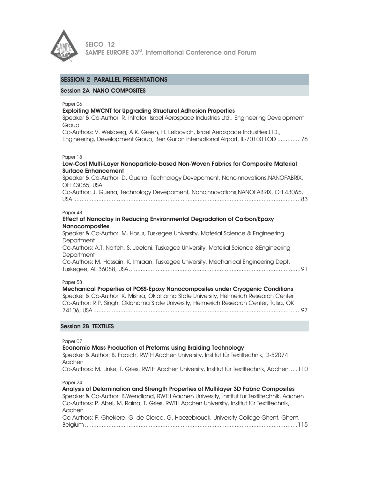

## SESSION 2 PARALLEL PRESENTATIONS

#### Session 2A NANO COMPOSITES

Paper 06

#### Exploiting MWCNT for Upgrading Structural Adhesion Properties

Speaker & Co-Author: R. Intrater, Israel Aerospace Industries Ltd., Engineering Development **Group** 

Co-Authors: V. Weisberg, A.K. Green, H. Leibovich, Israel Aerospace Industries LTD., Engineering, Development Group, Ben Gurion International Airport, IL-70100 LOD .............. 76

#### Paper 18

| Low-Cost Multi-Layer Nanoparticle-based Non-Woven Fabrics for Composite Material<br><b>Surface Enhancement</b> |
|----------------------------------------------------------------------------------------------------------------|
| Speaker & Co-Author: D. Guerra, Technology Devepoment, Nanoinnovations, NANOFABRIX,<br>OH 43065, USA           |
| Co-Author: J. Guerra, Technology Devepoment, Nanoinnovations, NANOFABRIX, OH 43065,                            |
| Paper 48<br>Effect of Nanoclay in Reducing Environmental Degradation of Carbon/Epoxy<br><b>Nanocomposites</b>  |

Speaker & Co-Author: M. Hosur, Tuskegee University, Material Science & Engineering Department Co-Authors: A.T. Narteh, S. Jeelani, Tuskegee University, Material Science &Engineering **Department** Co-Authors: M. Hossain, K. Imraan, Tuskegee University, Mechanical Engineering Dept. Tuskegee, AL 36088, USA ...................................................................................................... 91

Paper 58

Mechanical Properties of POSS-Epoxy Nanocomposites under Cryogenic Conditions Speaker & Co-Author: K. Mishra, Oklahoma State University, Helmerich Research Center Co-Author: R.P. Singh, Oklahoma State University, Helmerich Research Center, Tulsa, OK 74106, USA ........................................................................................................................... 97

#### Session 2B TEXTILES

Paper 07

#### Economic Mass Production of Preforms using Braiding Technology

Speaker & Author: B. Fabich, RWTH Aachen University, Institut für Textiltechnik, D-52074 Aachen

Co-Authors: M. Linke, T. Gries, RWTH Aachen University, Institut für Textiltechnik, Aachen ..... 110

Paper 24

Analysis of Delamination and Strength Properties of Multilayer 3D Fabric Composites Speaker & Co-Author: B.Wendland, RWTH Aachen University, Institut für Textiltechnik, Aachen Co-Authors: P. Abel, M. Raina, T. Gries, RWTH Aachen University, Institut für Textiltechnik, Aachen Co-Authors: F. Ghekiere, G. de Clercq, G. Haezebrouck, University College Ghent, Ghent, Belgium .............................................................................................................................. 115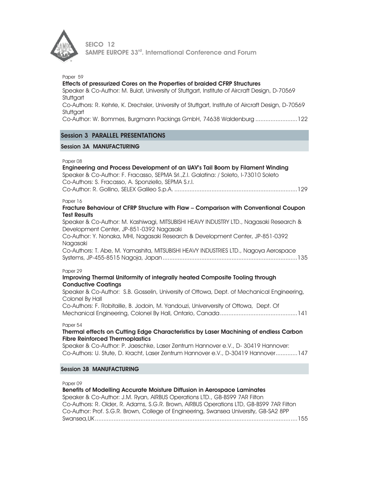

Paper 59 Effects of pressurized Cores on the Properties of braided CFRP Structures Speaker & Co-Author: M. Bulat, University of Stuttgart, Institute of Aircraft Design, D-70569 Stuttaart Co-Authors: R. Kehrle, K. Drechsler, University of Stuttgart, Institute of Aircraft Design, D-70569 **Stuttgart** Co-Author: W. Bommes, Burgmann Packings GmbH, 74638 Waldenburg ......................... 122

## Session 3 PARALLEL PRESENTATIONS

### Session 3A MANUFACTURING

#### Paper 08

| Engineering and Process Development of an UAV's Tail Boom by Filament Winding         |
|---------------------------------------------------------------------------------------|
| Speaker & Co-Author: F. Fracasso, SEPMA Srl., Z.I. Galatina: / Soleto, I-73010 Soleto |
| Co-Authors: S. Fracasso, A. Sponziello, SEPMA S.r.l.                                  |
|                                                                                       |
|                                                                                       |

#### Paper 16

#### Fracture Behaviour of CFRP Structure with Flaw – Comparison with Conventional Coupon Test Results

Speaker & Co-Author: M. Kashiwagi, MITSUBISHI HEAVY INDUSTRY LTD., Nagasaki Research & Development Center, JP-851-0392 Nagasaki

Co-Author: Y. Nonaka, MHI, Nagasaki Research & Development Center, JP-851-0392 Nagasaki

Co-Authors: T. Abe, M. Yamashita, MITSUBISHI HEAVY INDUSTRIES LTD., Nagoya Aerospace Systems, JP-455-8515 Nagoja, Japan ................................................................................ 135

#### Paper 29

#### Improving Thermal Uniformity of integrally heated Composite Tooling through Conductive Coatings

Speaker & Co-Author: S.B. Gosselin, University of Ottowa, Dept. of Mechanical Engineering, Colonel By Hall

Co-Authors: F. Robitaille, B. Jodoin, M. Yandouzi, Univerversity of Ottowa, Dept. Of Mechanical Engineering, Colonel By Hall, Ontario, Canada .............................................. 141

#### Paper 54

#### Thermal effects on Cutting Edge Characteristics by Laser Machining of endless Carbon Fibre Reinforced Thermoplastics

Speaker & Co-Author: P. Jaeschke, Laser Zentrum Hannover e.V., D- 30419 Hannover: Co-Authors: U. Stute, D. Kracht, Laser Zentrum Hannover e.V., D-30419 Hannover ............. 147

#### Session 3B MANUFACTURING

Paper 09

Benefits of Modelling Accurate Moisture Diffusion in Aerospace Laminates Speaker & Co-Author: J.M. Ryan, AIRBUS Operations LTD., GB-BS99 7AR Filton Co-Authors: R. Older, R. Adams, S.G.R. Brown, AIRBUS Operations LTD, GB-BS99 7AR Filton Co-Author: Prof. S.G.R. Brown, College of Engineering, Swansea University, GB-SA2 8PP Swansea,UK ........................................................................................................................ 155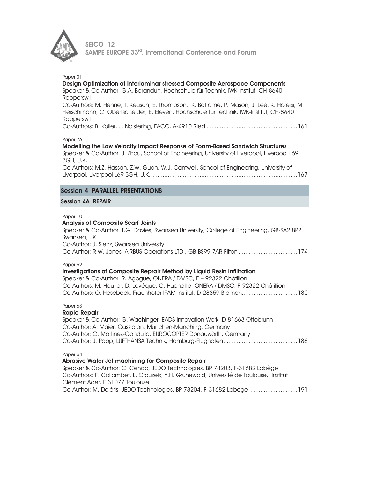

| Paper 31<br>Design Optimization of Interlaminar stressed Composite Aerospace Components<br>Speaker & Co-Author: G.A. Barandun, Hochschule für Technik, IWK-Institut, CH-8640<br>Rapperswil<br>Co-Authors: M. Henne, T. Keusch, E. Thompson, K. Bottome, P. Mason, J. Lee, K. Horejsi, M.<br>Fleischmann, C. Obertscheider, E. Eleven, Hochschule für Technik, IWK-Institut, CH-8640<br>Rapperswil |
|---------------------------------------------------------------------------------------------------------------------------------------------------------------------------------------------------------------------------------------------------------------------------------------------------------------------------------------------------------------------------------------------------|
| Paper 76<br>Modelling the Low Velocity Impact Response of Foam-Based Sandwich Structures<br>Speaker & Co-Author: J. Zhou, School of Engineering, University of Liverpool, Liverpool L69<br>3GH, U.K.<br>Co-Authors: M.Z. Hassan, Z.W. Guan, W.J. Cantwell, School of Engineering, University of                                                                                                   |
| <b>Session 4 PARALLEL PRSENTATIONS</b>                                                                                                                                                                                                                                                                                                                                                            |
| <b>Session 4A REPAIR</b>                                                                                                                                                                                                                                                                                                                                                                          |
| Paper 10<br><b>Analysis of Composite Scarf Joints</b><br>Speaker & Co-Author: T.G. Davies, Swansea University, College of Engineering, GB-SA2 8PP<br>Swansea, UK<br>Co-Author: J. Sienz, Swansea University<br>Co-Author: R.W. Jones, AIRBUS Operations LTD., GB-BS99 7AR Filton 174                                                                                                              |
| Paper 62<br>Investigations of Composite Reprair Method by Liquid Resin Infiltration<br>Speaker & Co-Author: R. Agogué, ONERA / DMSC, F - 92322 Châtillon<br>Co-Authors: M. Hautier, D. Lévêque, C. Huchette, ONERA / DMSC, F-92322 Châtillion<br>Co-Authors: O. Hesebeck, Fraunhofer IFAM Institut, D-28359 Bremen180                                                                             |
| Paper 63<br><b>Rapid Repair</b><br>Speaker & Co-Author: G. Wachinger, EADS Innovation Work, D-81663 Ottobrunn<br>Co-Author: A. Maier, Cassidian, München-Manching, Germany<br>Co-Author: O. Martinez-Gandullo, EUROCOPTER Donauwörth. Germany                                                                                                                                                     |
| Paper 64<br>Abrasive Water Jet machining for Composite Repair<br>Speaker & Co-Author: C. Cenac, JEDO Technologies, BP 78203, F-31682 Labège<br>Co-Authors: F. Collombet, L. Crouzeix, Y.H. Grunewald, Université de Toulouse, Institut<br>Clément Ader, F 31077 Toulouse<br>Co-Author: M. Déléris, JEDO Technologies, BP 78204, F-31682 Labège 191                                                |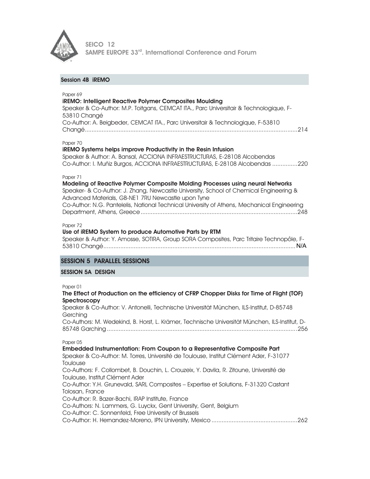

## Session 4B iREMO

| Paper 69<br><b>iREMO: Intelligent Reactive Polymer Composites Moulding</b><br>Speaker & Co-Author: M.P. Toitgans, CEMCAT ITA., Parc Universitair & Technologique, F-<br>53810 Changé                                                                                                                                                      |
|-------------------------------------------------------------------------------------------------------------------------------------------------------------------------------------------------------------------------------------------------------------------------------------------------------------------------------------------|
| Co-Author: A. Beigbeder, CEMCAT ITA., Parc Universitair & Technologique, F-53810                                                                                                                                                                                                                                                          |
| Paper 70<br>iREMO Systems helps improve Productivity in the Resin Infusion<br>Speaker & Author: A. Bansal, ACCIONA INFRAESTRUCTURAS, E-28108 Alcobendas<br>Co-Author: I. Muñiz Burgos, ACCIONA INFRAESTRUCTURAS, E-28108 Alcobendas 220                                                                                                   |
| Paper 71<br>Modeling of Reactive Polymer Composite Molding Processes using neural Networks<br>Speaker- & Co-Author: J. Zhang, Newcastle University, School of Chemical Engineering &<br>Advanced Materials, GB-NE1 7RU Newcastle upon Tyne<br>Co-Author: N.G. Pantelelis, National Technical University of Athens, Mechanical Engineering |
| Paper 72<br>Use of iREMO System to produce Automotive Parts by RTM<br>Speaker & Author: Y. Amosse, SOTIRA, Group SORA Composites, Parc Tritaire Technopôle, F-                                                                                                                                                                            |
| <b>SESSION 5 PARALLEL SESSIONS</b>                                                                                                                                                                                                                                                                                                        |
| <b>SESSION 5A DESIGN</b>                                                                                                                                                                                                                                                                                                                  |
| Paper 01<br>The Effect of Production on the efficiency of CFRP Chopper Disks for Time of Flight (TOF)<br>Spectroscopy                                                                                                                                                                                                                     |
| Speaker & Co-Author: V. Antonelli, Technische Universität München, ILS-Institut, D-85748<br>Gerching                                                                                                                                                                                                                                      |
| Co-Authors: M. Wedekind, B. Horst, L. Krämer, Technische Universität München, ILS-Institut, D-                                                                                                                                                                                                                                            |
| Paper 05<br>Embedded Instrumentation: From Coupon to a Representative Composite Part<br>Speaker & Co-Author: M. Torres, Université de Toulouse, Institut Clément Ader, F-31077<br>Toulouse                                                                                                                                                |
| Co-Authors: F. Collombet, B. Douchin, L. Crouzeix, Y. Davila, R. Zitoune, Université de<br>Toulouse, Institut Clément Ader                                                                                                                                                                                                                |
| Co-Author: Y.H. Grunevald, SARL Composites - Expertise et Solutions, F-31320 Castant<br>Tolosan, France                                                                                                                                                                                                                                   |
| Co-Author: R. Bazer-Bachi, IRAP Institute, France<br>Co-Authors: N. Lammers, G. Luyckx, Gent University, Gent, Belgium                                                                                                                                                                                                                    |

Co-Author: C. Sonnenfeld, Free University of Brussels

Co-Author: H. Hernandez-Moreno, IPN University, Mexico ................................................... 262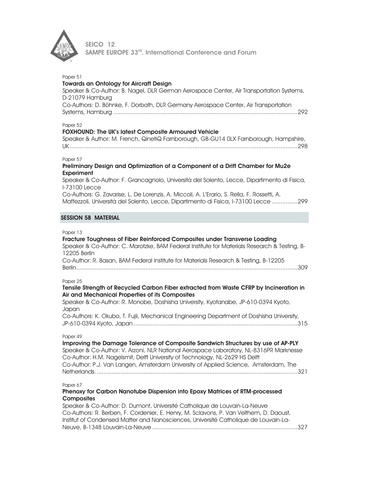

| Paper 51<br><b>Towards an Ontology for Aircraft Design</b><br>Speaker & Co-Author: B. Nagel, DLR German Aerospace Center, Air Transportation Systems,<br>D-21079 Hamburg<br>Co-Authors: D. Böhnke, F. Dorbath, DLR Germany Aerospace Center, Air Transportation                                                                                              |
|--------------------------------------------------------------------------------------------------------------------------------------------------------------------------------------------------------------------------------------------------------------------------------------------------------------------------------------------------------------|
| Paper 52<br><b>FOXHOUND: The UK's latest Composite Armoured Vehicle</b><br>Speaker & Author: M. French, QinetiQ Farnborough, GB-GU14 0LX Farnborough, Hampshire,                                                                                                                                                                                             |
| Paper 57<br>Preliminary Design and Optimization of a Component of a Drift Chamber for Mu2e<br><b>Experiment</b><br>Speaker & Co-Author: F. Grancagnolo, Università del Solento, Lecce, Dipartimento di Fisica,<br><b>I-73100 Lecce</b><br>Co-Authors: G. Zavarise, L. De Lorenzis, A. Miccoli, A. L'Erario, S. Rella, F. Rossetti, A.                        |
| Maffezzoli, Università del Solento, Lecce, Dipartimento di Fisica, I-73100 Lecce 299<br><b>SESSION 5B MATERIAL</b>                                                                                                                                                                                                                                           |
| Paper 13<br>Fracture Toughness of Fiber Reinforced Composites under Transverse Loading<br>Speaker & Co-Author: C. Marotzke, BAM Federal Institute for Materials Research & Testing, B-<br>12205 Berlin<br>Co-Author: R. Basan, BAM Federal Institute for Materials Research & Testing, B-12205                                                               |
| Paper 25<br>Tensile Strength of Recycled Carbon Fiber extracted from Waste CFRP by Incineration in<br>Air and Mechanical Properties of its Composites<br>Speaker & Co-Author: R. Monobe, Doshisha University, Kyotanabe, JP-610-0394 Kyoto,<br>Japan<br>Co-Authors: K. Okubo, T. Fujii, Mechanical Engineering Department of Doshisha University,            |
| Paper 49<br>Improving the Damage Tolerance of Composite Sandwich Structures by use of AP-PLY<br>Speaker & Co-Author: V. Arzoni, NLR National Aerospace Laboratory, NL-8316PR Marknesse<br>Co-Author: H.M. Nagelsmit, Delft University of Technology, NL-2629 HS Delft<br>Co-Author: P.J. Van Langen, Amsterdam University of Applied Science, Amsterdam, The |
| Paper 67<br>Phenoxy for Carbon Nanotube Dispersion into Epoxy Matrices of RTM-processed<br><b>Composites</b><br>Speaker & Co-Author: D. Dumont, Université Catholiaue de Louvain-La-Neuve                                                                                                                                                                    |

Speaker & Co-Author: D. Dumont, Université Catholique de Louvain-La-Neuve Co-Authors: R. Berben, F. Cordenier, E. Henry, M. Sclavons, P. Van Velthem, D. Daoust, Institut of Condensed Matter and Nanosciences, Université Catholique de Louvain-La-Neuve, B-1348 Louvain-La-Neuve ...................................................................................... 327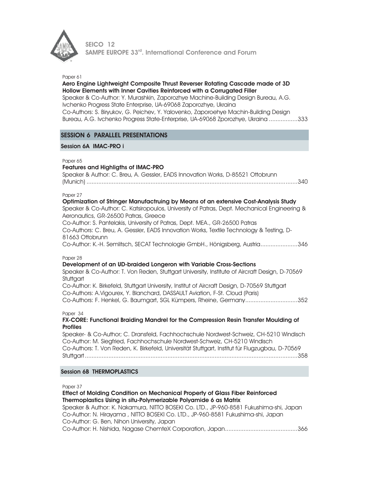

#### Paper 61

## Aero Engine Lightweight Composite Thrust Reverser Rotating Cascade made of 3D Hollow Elements with Inner Cavities Reinforced with a Corrugated Filler

Speaker & Co-Author: Y. Murashkin, Zaporozhye Machine-Building Design Bureau, A.G. Ivchenko Progress State Enterprise, UA-69068 Zaporozhye, Ukraina Co-Authors: S. Biryukov, G. Peichev, Y. Yalovenko, Zaporoehye Machin-Building Design Bureau, A.G. Ivchenko Progress State-Enterprise, UA-69068 Zporozhye, Ukraina ................. 333

## SESSION 6 PARALLEL PRESENTATIONS

#### Session 6A IMAC-PRO i

#### Paper 65

#### Features and Highligths of IMAC-PRO

| Speaker & Author: C. Breu, A. Gessler, EADS Innovation Works, D-85521 Ottobrunn |
|---------------------------------------------------------------------------------|
|                                                                                 |

#### Paper 27

Optimization of Stringer Manufactruing by Means of an extensive Cost-Analysis Study Speaker & Co-Author: C. Katsiropoulos, University of Patras, Dept. Mechanical Engineering & Aeronautics, GR-26500 Patras, Greece Co-Author: S. Pantelakis, University of Patras, Dept. MEA., GR-26500 Patras Co-Authors: C. Breu, A. Gessler, EADS Innovation Works, Textile Technology & Testing, D-

81663 Ottobrunn

Co-Author: K.-H. Semlitsch, SECAT Technologie GmbH., Hönigsberg, Austria ...................... 346

Paper 28

#### Development of an UD-braided Longeron with Variable Cross-Sections

Speaker & Co-Author: T. Von Reden, Stuttgart University, Institute of Aircraft Design, D-70569 **Stuttgart** 

Co-Author: K. Birkefeld, Stuttgart University, Institut of Aircraft Design, D-70569 Stuttgart Co-Authors: A.Vigourex, Y. Blanchard, DASSAULT Aviation, F-St. Cloud (Paris) Co-Authors: F. Henkel, G. Baumgart, SGL Kümpers, Rheine, Germany ............................... 352

Paper 34

#### FX-CORE: Functional Braiding Mandrel for the Compression Resin Transfer Moulding of Profiles

Speaker- & Co-Author; C. Dransfeld, Fachhochschule Nordwest-Schweiz, CH-5210 Windisch Co-Author: M. Siegfried, Fachhochschule Nordwest-Schweiz, CH-5210 Windisch Co-Authors: T. Von Reden, K. Birkefeld, Universität Stuttgart, Institut für Flugzugbau, D-70569 Stuttgart .............................................................................................................................. 358

#### Session 6B THERMOPLASTICS

Paper 37

## Effect of Molding Condition on Mechanical Property of Glass Fiber Reinforced Thermoplastics Using in situ-Polymerizable Polyamide 6 as Matrix

Speaker & Author: K. Nakamura, NITTO BOSEKI Co. LTD., JP-960-8581 Fukushima-shi, Japan Co-Author: N. Hirayama , NITTO BOSEKI Co. LTD., JP-960-8581 Fukushima-shi, Japan Co-Author: G. Ben, Nihon University, Japan Co-Author: H. Nishida, Nagase ChemteX Corporation, Japan ........................................... 366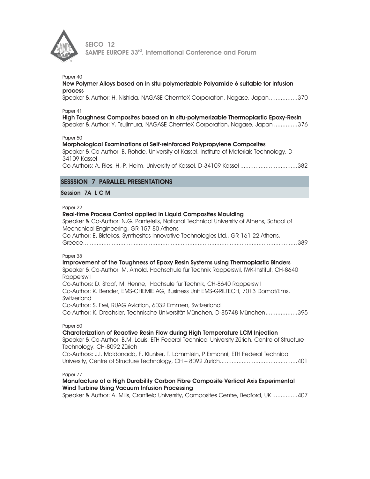

#### Paper 40

#### New Polymer Alloys based on in situ-polymerizable Polyamide 6 suitable for infusion process

Speaker & Author: H. Nishida, NAGASE ChemteX Corporation, Nagase, Japan ................. 370

Paper 41

High Toughness Composites based on in situ-polymerizable Thermoplastic Epoxy-Resin

Speaker & Author: Y. Tsujimura, NAGASE ChemteX Corporation, Nagase, Japan .............. 376

Paper 50

#### Morphological Examinations of Self-reinforced Polypropylene Composites

Speaker & Co-Author: B. Rohde, University of Kassel, Institute of Materials Technology, D-34109 Kassel

Co-Authors: A. Ries, H.-P. Heim, University of Kassel, D-34109 Kassel .................................. 382

## SESSSION 7 PARALLEL PRESENTATIONS

#### Session 7A L C M

Paper 22

## Real-time Process Control applied in Liquid Composites Moulding

Speaker & Co-Author: N.G. Pantelelis, National Technical University of Athens, School of Mechanical Engineering, GR-157 80 Athens Co-Author: E. Bistekos, Synthesites Innovative Technologies Ltd., GR-161 22 Athens,

Greece ............................................................................................................................... 389

Paper 38

#### Improvement of the Toughness of Epoxy Resin Systems using Thermoplastic Binders

Speaker & Co-Author: M. Arnold, Hochschule für Technik Rapperswil, IWK-Institut, CH-8640 Rapperswil

Co-Authors: D. Stapf, M. Henne, Hochsule für Technik, CH-8640 Rapperswil Co-Author: K. Bender, EMS-CHEMIE AG, Business Unit EMS-GRILTECH, 7013 Domat/Ems, **Switzerland** 

Co-Author: S. Frei, RUAG Aviation, 6032 Emmen, Switzerland

Co-Author: K. Drechsler, Technische Universität München, D-85748 München ................... 395

#### Paper 60

Charcterization of Reactive Resin Flow during High Temperature LCM Injection Speaker & Co-Author: B.M. Louis, ETH Federal Technical University Zürich, Centre of Structure Technology, CH-8092 Zürich Co-Authors: J.I. Maldonado, F. Klunker, T. Lämmlein, P.Ermanni, ETH Federal Technical University, Centre of Structure Technology, CH – 8092 Zürich .............................................. 401

### Paper 77

## Manufacture of a High Durability Carbon Fibre Composite Vertical Axis Experimental Wind Turbine Using Vacuum Infusion Processing

Speaker & Author: A. Mills, Cranfield University, Composites Centre, Bedford, UK ............... 407